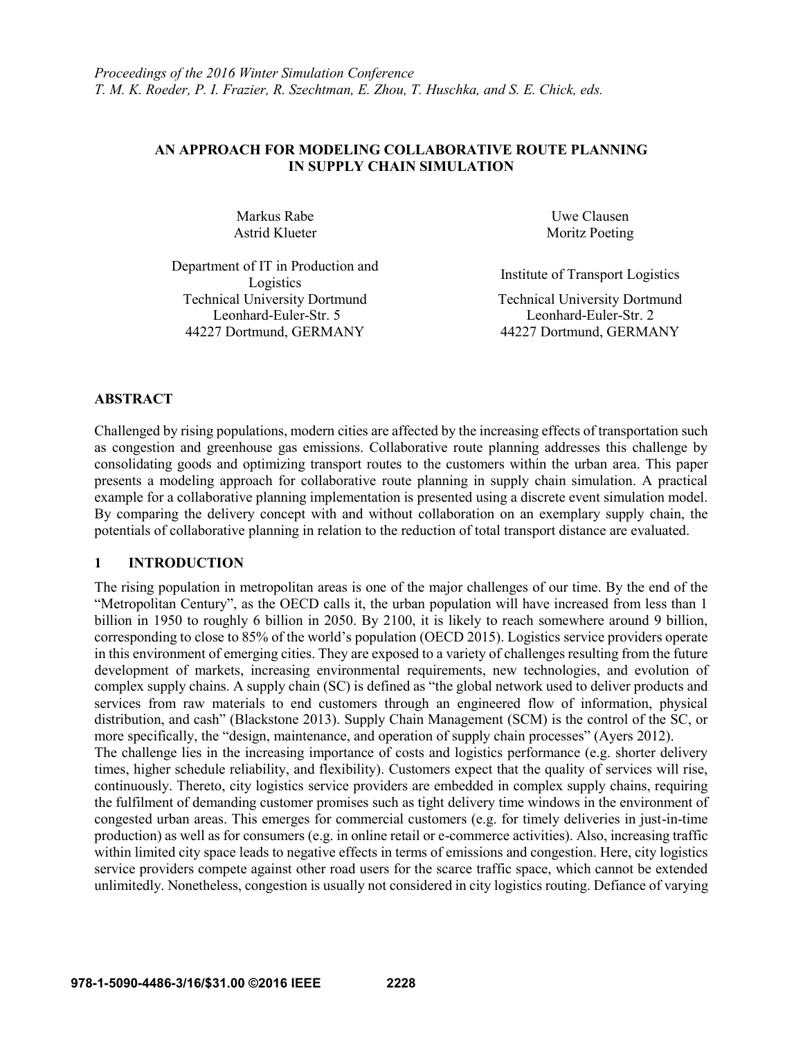## **AN APPROACH FOR MODELING COLLABORATIVE ROUTE PLANNING IN SUPPLY CHAIN SIMULATION**

Markus Rabe Uwe Clausen Astrid Klueter Moritz Poeting

Department of IT in Production and Institute of Transport Logistics<br>Logistics Technical University Dortmund Leonhard-Euler-Str. 5 44227 Dortmund, GERMANY 44227 Dortmund, GERMANY

Technical University Dortmund Leonhard-Euler-Str. 2

## **ABSTRACT**

Challenged by rising populations, modern cities are affected by the increasing effects of transportation such as congestion and greenhouse gas emissions. Collaborative route planning addresses this challenge by consolidating goods and optimizing transport routes to the customers within the urban area. This paper presents a modeling approach for collaborative route planning in supply chain simulation. A practical example for a collaborative planning implementation is presented using a discrete event simulation model. By comparing the delivery concept with and without collaboration on an exemplary supply chain, the potentials of collaborative planning in relation to the reduction of total transport distance are evaluated.

### **1 INTRODUCTION**

The rising population in metropolitan areas is one of the major challenges of our time. By the end of the "Metropolitan Century", as the OECD calls it, the urban population will have increased from less than 1 billion in 1950 to roughly 6 billion in 2050. By 2100, it is likely to reach somewhere around 9 billion, corresponding to close to 85% of the world's population (OECD 2015). Logistics service providers operate in this environment of emerging cities. They are exposed to a variety of challenges resulting from the future development of markets, increasing environmental requirements, new technologies, and evolution of complex supply chains. A supply chain (SC) is defined as "the global network used to deliver products and services from raw materials to end customers through an engineered flow of information, physical distribution, and cash" (Blackstone 2013). Supply Chain Management (SCM) is the control of the SC, or more specifically, the "design, maintenance, and operation of supply chain processes" (Ayers 2012). The challenge lies in the increasing importance of costs and logistics performance (e.g. shorter delivery times, higher schedule reliability, and flexibility). Customers expect that the quality of services will rise, continuously. Thereto, city logistics service providers are embedded in complex supply chains, requiring the fulfilment of demanding customer promises such as tight delivery time windows in the environment of congested urban areas. This emerges for commercial customers (e.g. for timely deliveries in just-in-time production) as well as for consumers (e.g. in online retail or e-commerce activities). Also, increasing traffic within limited city space leads to negative effects in terms of emissions and congestion. Here, city logistics service providers compete against other road users for the scarce traffic space, which cannot be extended unlimitedly. Nonetheless, congestion is usually not considered in city logistics routing. Defiance of varying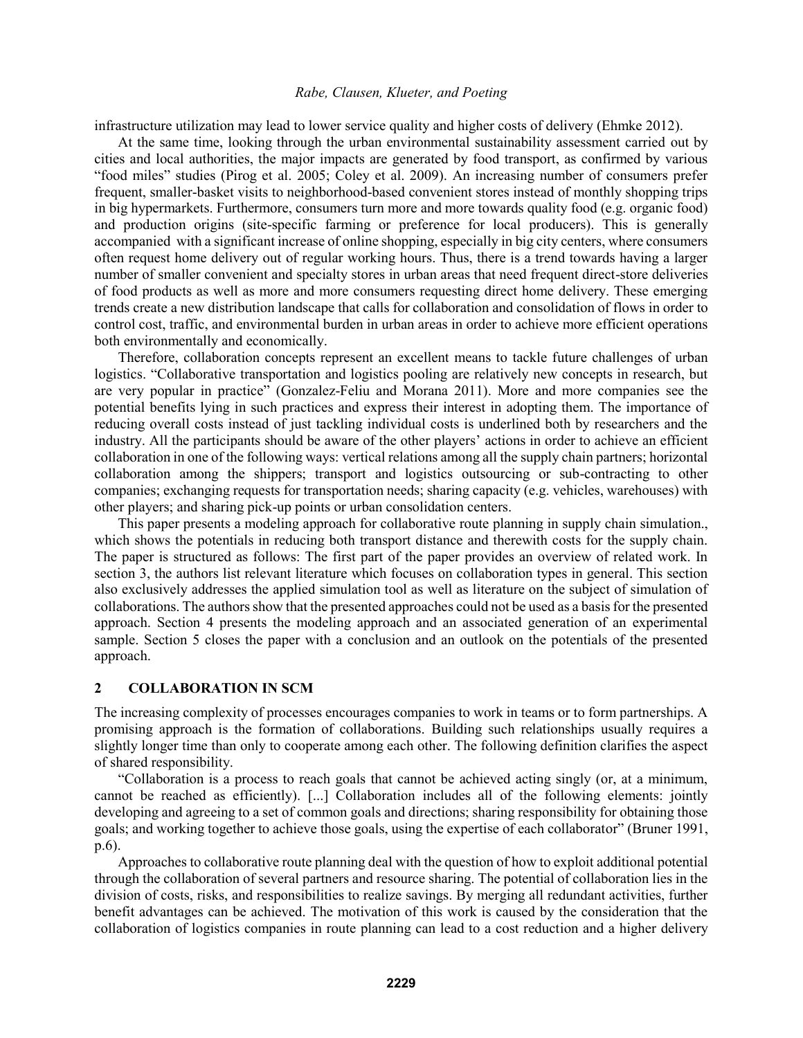infrastructure utilization may lead to lower service quality and higher costs of delivery (Ehmke 2012).

At the same time, looking through the urban environmental sustainability assessment carried out by cities and local authorities, the major impacts are generated by food transport, as confirmed by various "food miles" studies (Pirog et al. 2005; Coley et al. 2009). An increasing number of consumers prefer frequent, smaller-basket visits to neighborhood-based convenient stores instead of monthly shopping trips in big hypermarkets. Furthermore, consumers turn more and more towards quality food (e.g. organic food) and production origins (site-specific farming or preference for local producers). This is generally accompanied with a significant increase of online shopping, especially in big city centers, where consumers often request home delivery out of regular working hours. Thus, there is a trend towards having a larger number of smaller convenient and specialty stores in urban areas that need frequent direct-store deliveries of food products as well as more and more consumers requesting direct home delivery. These emerging trends create a new distribution landscape that calls for collaboration and consolidation of flows in order to control cost, traffic, and environmental burden in urban areas in order to achieve more efficient operations both environmentally and economically.

Therefore, collaboration concepts represent an excellent means to tackle future challenges of urban logistics. "Collaborative transportation and logistics pooling are relatively new concepts in research, but are very popular in practice" (Gonzalez-Feliu and Morana 2011). More and more companies see the potential benefits lying in such practices and express their interest in adopting them. The importance of reducing overall costs instead of just tackling individual costs is underlined both by researchers and the industry. All the participants should be aware of the other players' actions in order to achieve an efficient collaboration in one of the following ways: vertical relations among all the supply chain partners; horizontal collaboration among the shippers; transport and logistics outsourcing or sub-contracting to other companies; exchanging requests for transportation needs; sharing capacity (e.g. vehicles, warehouses) with other players; and sharing pick-up points or urban consolidation centers.

This paper presents a modeling approach for collaborative route planning in supply chain simulation., which shows the potentials in reducing both transport distance and therewith costs for the supply chain. The paper is structured as follows: The first part of the paper provides an overview of related work. In section 3, the authors list relevant literature which focuses on collaboration types in general. This section also exclusively addresses the applied simulation tool as well as literature on the subject of simulation of collaborations. The authors show that the presented approaches could not be used as a basis for the presented approach. Section 4 presents the modeling approach and an associated generation of an experimental sample. Section 5 closes the paper with a conclusion and an outlook on the potentials of the presented approach.

## **2 COLLABORATION IN SCM**

The increasing complexity of processes encourages companies to work in teams or to form partnerships. A promising approach is the formation of collaborations. Building such relationships usually requires a slightly longer time than only to cooperate among each other. The following definition clarifies the aspect of shared responsibility.

"Collaboration is a process to reach goals that cannot be achieved acting singly (or, at a minimum, cannot be reached as efficiently). [...] Collaboration includes all of the following elements: jointly developing and agreeing to a set of common goals and directions; sharing responsibility for obtaining those goals; and working together to achieve those goals, using the expertise of each collaborator" (Bruner 1991, p.6).

Approaches to collaborative route planning deal with the question of how to exploit additional potential through the collaboration of several partners and resource sharing. The potential of collaboration lies in the division of costs, risks, and responsibilities to realize savings. By merging all redundant activities, further benefit advantages can be achieved. The motivation of this work is caused by the consideration that the collaboration of logistics companies in route planning can lead to a cost reduction and a higher delivery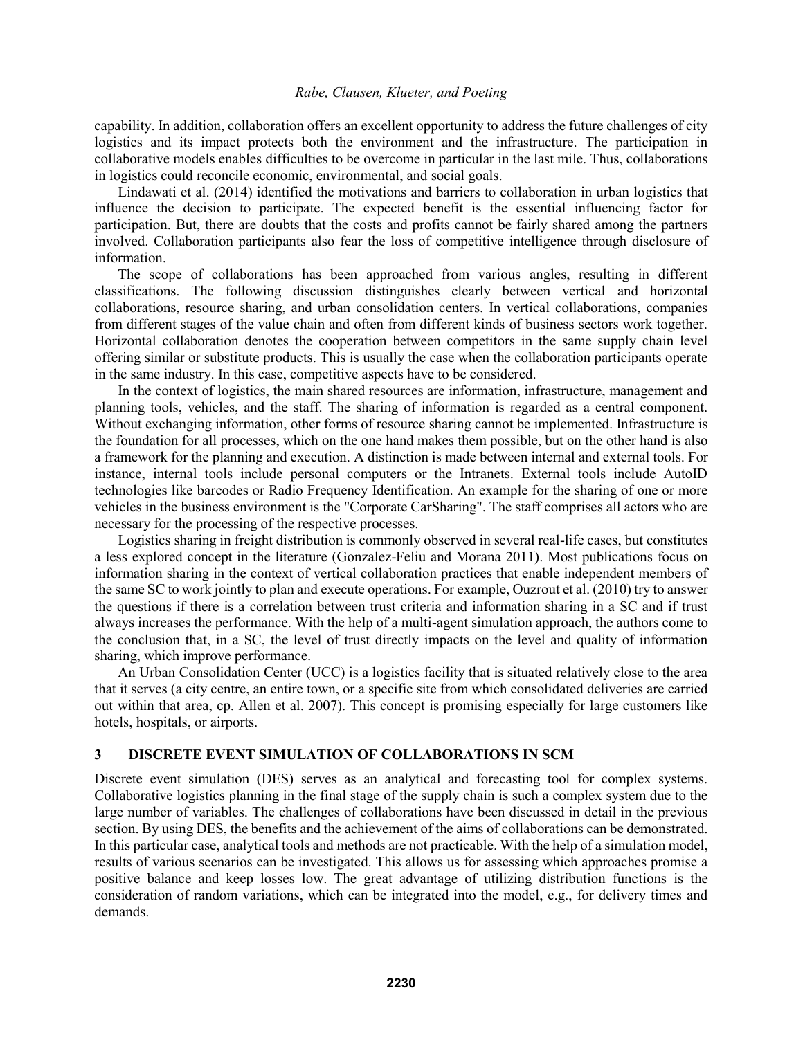capability. In addition, collaboration offers an excellent opportunity to address the future challenges of city logistics and its impact protects both the environment and the infrastructure. The participation in collaborative models enables difficulties to be overcome in particular in the last mile. Thus, collaborations in logistics could reconcile economic, environmental, and social goals.

Lindawati et al. (2014) identified the motivations and barriers to collaboration in urban logistics that influence the decision to participate. The expected benefit is the essential influencing factor for participation. But, there are doubts that the costs and profits cannot be fairly shared among the partners involved. Collaboration participants also fear the loss of competitive intelligence through disclosure of information.

The scope of collaborations has been approached from various angles, resulting in different classifications. The following discussion distinguishes clearly between vertical and horizontal collaborations, resource sharing, and urban consolidation centers. In vertical collaborations, companies from different stages of the value chain and often from different kinds of business sectors work together. Horizontal collaboration denotes the cooperation between competitors in the same supply chain level offering similar or substitute products. This is usually the case when the collaboration participants operate in the same industry. In this case, competitive aspects have to be considered.

In the context of logistics, the main shared resources are information, infrastructure, management and planning tools, vehicles, and the staff. The sharing of information is regarded as a central component. Without exchanging information, other forms of resource sharing cannot be implemented. Infrastructure is the foundation for all processes, which on the one hand makes them possible, but on the other hand is also a framework for the planning and execution. A distinction is made between internal and external tools. For instance, internal tools include personal computers or the Intranets. External tools include AutoID technologies like barcodes or Radio Frequency Identification. An example for the sharing of one or more vehicles in the business environment is the "Corporate CarSharing". The staff comprises all actors who are necessary for the processing of the respective processes.

Logistics sharing in freight distribution is commonly observed in several real-life cases, but constitutes a less explored concept in the literature (Gonzalez-Feliu and Morana 2011). Most publications focus on information sharing in the context of vertical collaboration practices that enable independent members of the same SC to work jointly to plan and execute operations. For example, Ouzrout et al. (2010) try to answer the questions if there is a correlation between trust criteria and information sharing in a SC and if trust always increases the performance. With the help of a multi-agent simulation approach, the authors come to the conclusion that, in a SC, the level of trust directly impacts on the level and quality of information sharing, which improve performance.

An Urban Consolidation Center (UCC) is a logistics facility that is situated relatively close to the area that it serves (a city centre, an entire town, or a specific site from which consolidated deliveries are carried out within that area, cp. Allen et al. 2007). This concept is promising especially for large customers like hotels, hospitals, or airports.

#### **3 DISCRETE EVENT SIMULATION OF COLLABORATIONS IN SCM**

Discrete event simulation (DES) serves as an analytical and forecasting tool for complex systems. Collaborative logistics planning in the final stage of the supply chain is such a complex system due to the large number of variables. The challenges of collaborations have been discussed in detail in the previous section. By using DES, the benefits and the achievement of the aims of collaborations can be demonstrated. In this particular case, analytical tools and methods are not practicable. With the help of a simulation model, results of various scenarios can be investigated. This allows us for assessing which approaches promise a positive balance and keep losses low. The great advantage of utilizing distribution functions is the consideration of random variations, which can be integrated into the model, e.g., for delivery times and demands.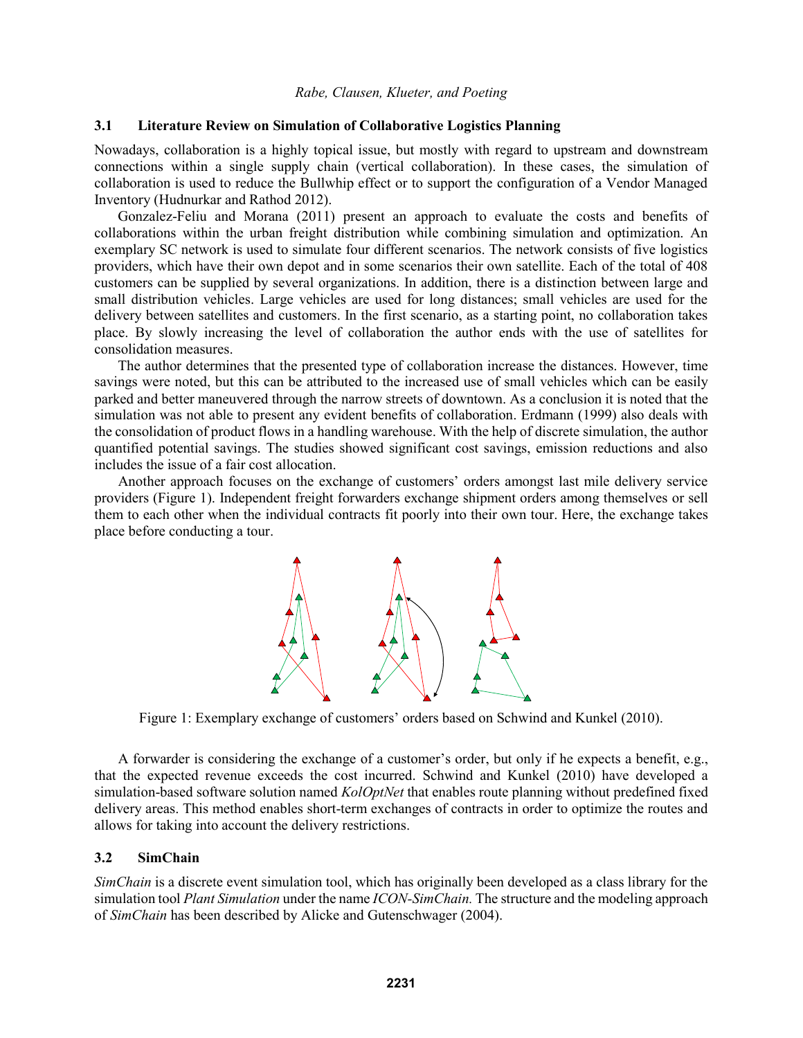### **3.1 Literature Review on Simulation of Collaborative Logistics Planning**

Nowadays, collaboration is a highly topical issue, but mostly with regard to upstream and downstream connections within a single supply chain (vertical collaboration). In these cases, the simulation of collaboration is used to reduce the Bullwhip effect or to support the configuration of a Vendor Managed Inventory (Hudnurkar and Rathod 2012).

Gonzalez-Feliu and Morana (2011) present an approach to evaluate the costs and benefits of collaborations within the urban freight distribution while combining simulation and optimization. An exemplary SC network is used to simulate four different scenarios. The network consists of five logistics providers, which have their own depot and in some scenarios their own satellite. Each of the total of 408 customers can be supplied by several organizations. In addition, there is a distinction between large and small distribution vehicles. Large vehicles are used for long distances; small vehicles are used for the delivery between satellites and customers. In the first scenario, as a starting point, no collaboration takes place. By slowly increasing the level of collaboration the author ends with the use of satellites for consolidation measures.

The author determines that the presented type of collaboration increase the distances. However, time savings were noted, but this can be attributed to the increased use of small vehicles which can be easily parked and better maneuvered through the narrow streets of downtown. As a conclusion it is noted that the simulation was not able to present any evident benefits of collaboration. Erdmann (1999) also deals with the consolidation of product flows in a handling warehouse. With the help of discrete simulation, the author quantified potential savings. The studies showed significant cost savings, emission reductions and also includes the issue of a fair cost allocation.

Another approach focuses on the exchange of customers' orders amongst last mile delivery service providers (Figure 1). Independent freight forwarders exchange shipment orders among themselves or sell them to each other when the individual contracts fit poorly into their own tour. Here, the exchange takes place before conducting a tour.



Figure 1: Exemplary exchange of customers' orders based on Schwind and Kunkel (2010).

A forwarder is considering the exchange of a customer's order, but only if he expects a benefit, e.g., that the expected revenue exceeds the cost incurred. Schwind and Kunkel (2010) have developed a simulation-based software solution named *KolOptNet* that enables route planning without predefined fixed delivery areas. This method enables short-term exchanges of contracts in order to optimize the routes and allows for taking into account the delivery restrictions.

### **3.2 SimChain**

*SimChain* is a discrete event simulation tool, which has originally been developed as a class library for the simulation tool *Plant Simulation* under the name *ICON-SimChain.* The structure and the modeling approach of *SimChain* has been described by Alicke and Gutenschwager (2004).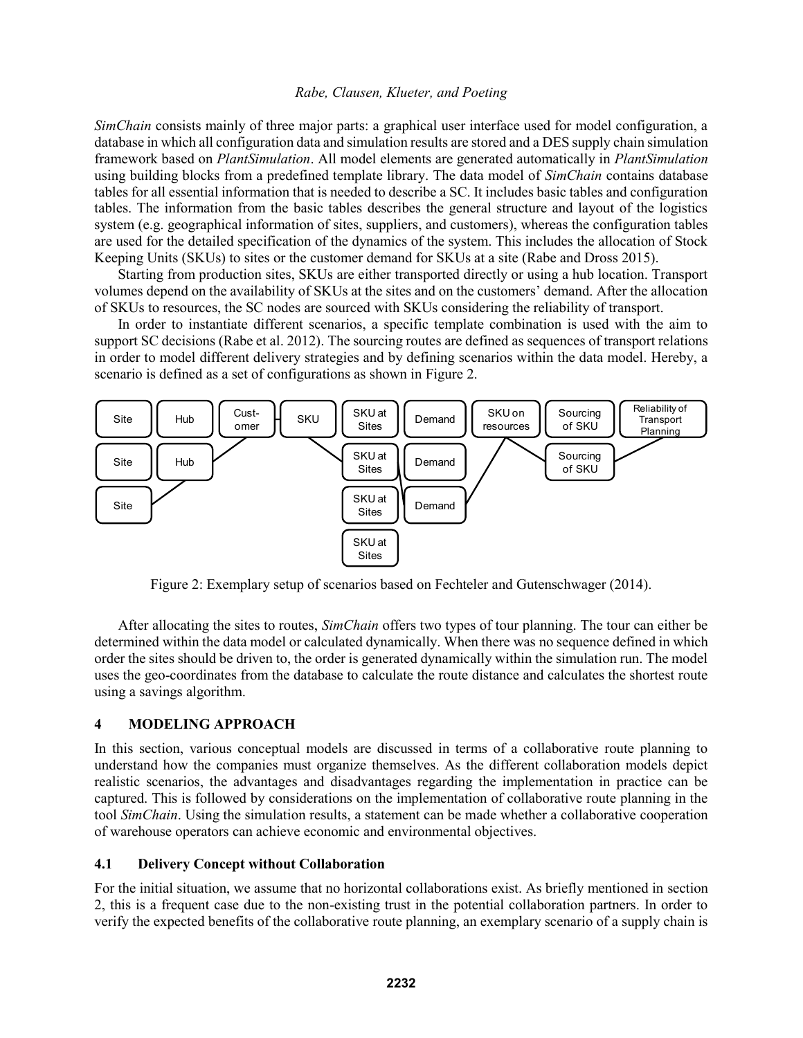*SimChain* consists mainly of three major parts: a graphical user interface used for model configuration, a database in which all configuration data and simulation results are stored and a DES supply chain simulation framework based on *PlantSimulation*. All model elements are generated automatically in *PlantSimulation* using building blocks from a predefined template library. The data model of *SimChain* contains database tables for all essential information that is needed to describe a SC. It includes basic tables and configuration tables. The information from the basic tables describes the general structure and layout of the logistics system (e.g. geographical information of sites, suppliers, and customers), whereas the configuration tables are used for the detailed specification of the dynamics of the system. This includes the allocation of Stock Keeping Units (SKUs) to sites or the customer demand for SKUs at a site (Rabe and Dross 2015).

Starting from production sites, SKUs are either transported directly or using a hub location. Transport volumes depend on the availability of SKUs at the sites and on the customers' demand. After the allocation of SKUs to resources, the SC nodes are sourced with SKUs considering the reliability of transport.

In order to instantiate different scenarios, a specific template combination is used with the aim to support SC decisions (Rabe et al. 2012). The sourcing routes are defined as sequences of transport relations in order to model different delivery strategies and by defining scenarios within the data model. Hereby, a scenario is defined as a set of configurations as shown in Figure 2.



Figure 2: Exemplary setup of scenarios based on Fechteler and Gutenschwager (2014).

After allocating the sites to routes, *SimChain* offers two types of tour planning. The tour can either be determined within the data model or calculated dynamically. When there was no sequence defined in which order the sites should be driven to, the order is generated dynamically within the simulation run. The model uses the geo-coordinates from the database to calculate the route distance and calculates the shortest route using a savings algorithm.

### **4 MODELING APPROACH**

In this section, various conceptual models are discussed in terms of a collaborative route planning to understand how the companies must organize themselves. As the different collaboration models depict realistic scenarios, the advantages and disadvantages regarding the implementation in practice can be captured. This is followed by considerations on the implementation of collaborative route planning in the tool *SimChain*. Using the simulation results, a statement can be made whether a collaborative cooperation of warehouse operators can achieve economic and environmental objectives.

## **4.1 Delivery Concept without Collaboration**

For the initial situation, we assume that no horizontal collaborations exist. As briefly mentioned in section 2, this is a frequent case due to the non-existing trust in the potential collaboration partners. In order to verify the expected benefits of the collaborative route planning, an exemplary scenario of a supply chain is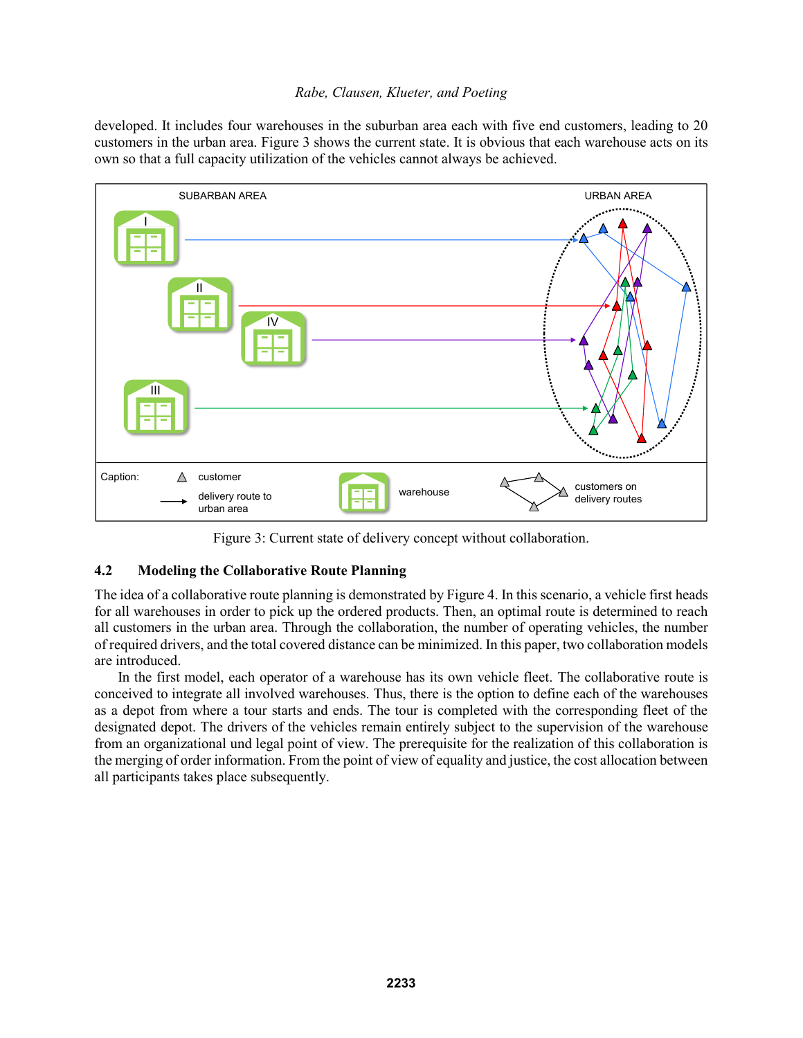developed. It includes four warehouses in the suburban area each with five end customers, leading to 20 customers in the urban area. Figure 3 shows the current state. It is obvious that each warehouse acts on its own so that a full capacity utilization of the vehicles cannot always be achieved.



Figure 3: Current state of delivery concept without collaboration.

# **4.2 Modeling the Collaborative Route Planning**

The idea of a collaborative route planning is demonstrated by Figure 4. In this scenario, a vehicle first heads for all warehouses in order to pick up the ordered products. Then, an optimal route is determined to reach all customers in the urban area. Through the collaboration, the number of operating vehicles, the number of required drivers, and the total covered distance can be minimized. In this paper, two collaboration models are introduced.

In the first model, each operator of a warehouse has its own vehicle fleet. The collaborative route is conceived to integrate all involved warehouses. Thus, there is the option to define each of the warehouses as a depot from where a tour starts and ends. The tour is completed with the corresponding fleet of the designated depot. The drivers of the vehicles remain entirely subject to the supervision of the warehouse from an organizational und legal point of view. The prerequisite for the realization of this collaboration is the merging of order information. From the point of view of equality and justice, the cost allocation between all participants takes place subsequently.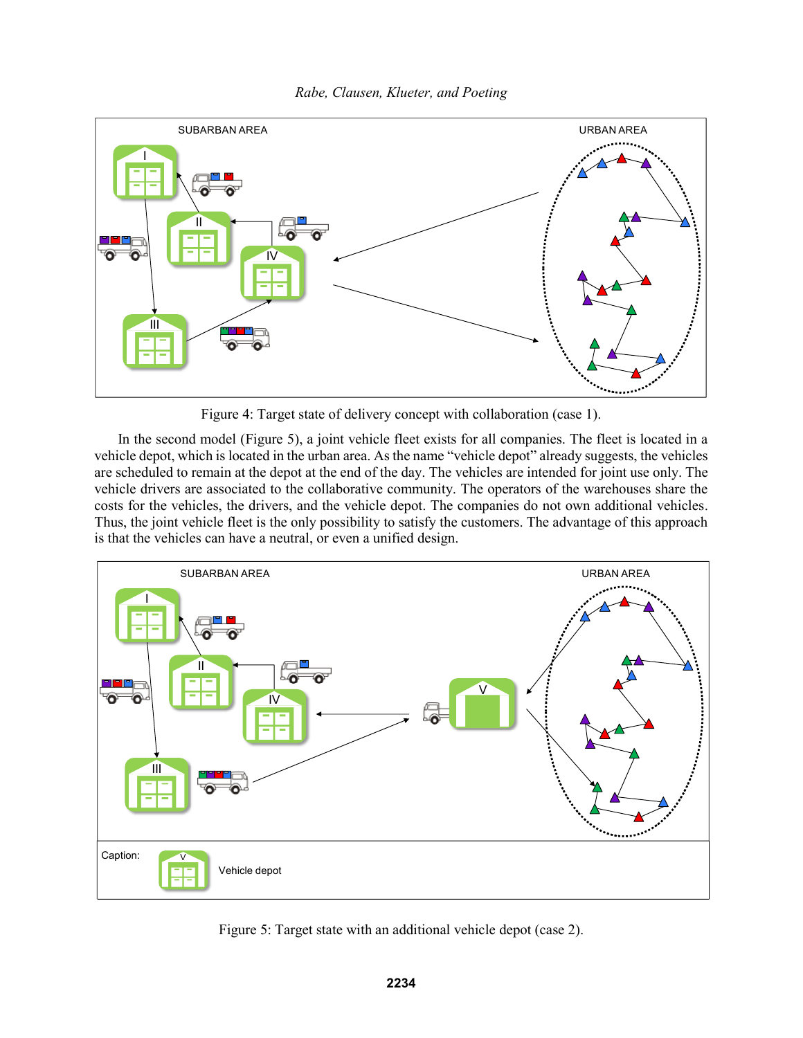



Figure 4: Target state of delivery concept with collaboration (case 1).

In the second model (Figure 5), a joint vehicle fleet exists for all companies. The fleet is located in a vehicle depot, which is located in the urban area. As the name "vehicle depot" already suggests, the vehicles are scheduled to remain at the depot at the end of the day. The vehicles are intended for joint use only. The vehicle drivers are associated to the collaborative community. The operators of the warehouses share the costs for the vehicles, the drivers, and the vehicle depot. The companies do not own additional vehicles. Thus, the joint vehicle fleet is the only possibility to satisfy the customers. The advantage of this approach is that the vehicles can have a neutral, or even a unified design.



Figure 5: Target state with an additional vehicle depot (case 2).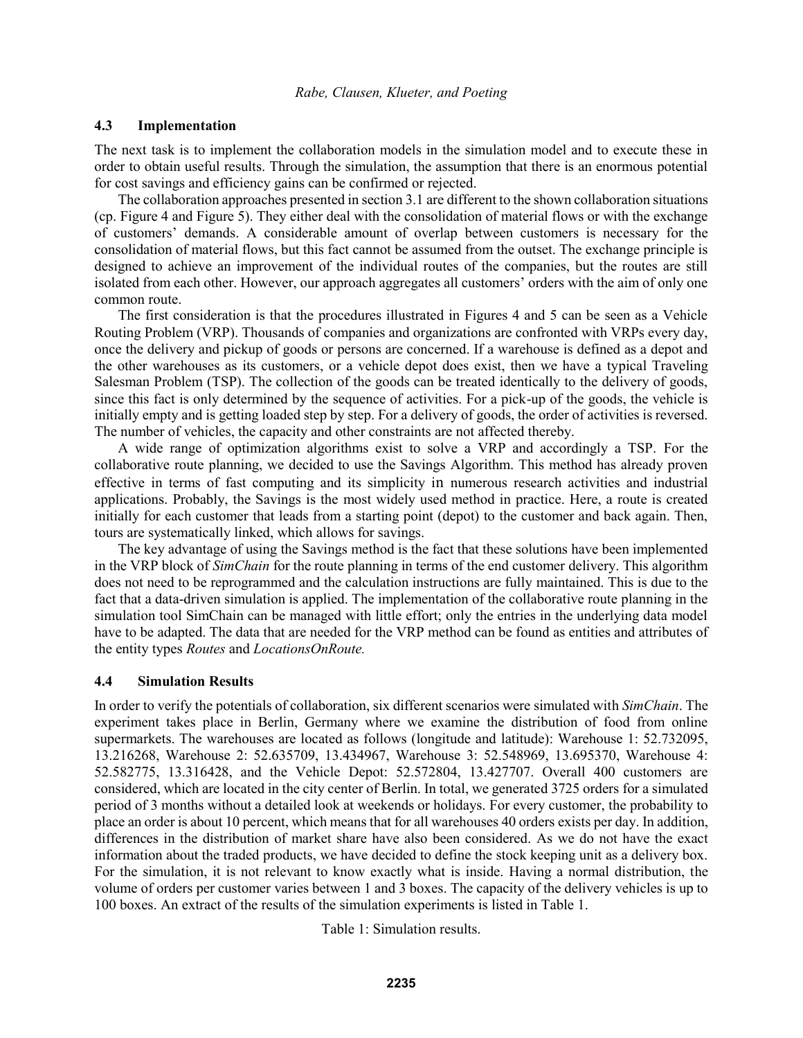## **4.3 Implementation**

The next task is to implement the collaboration models in the simulation model and to execute these in order to obtain useful results. Through the simulation, the assumption that there is an enormous potential for cost savings and efficiency gains can be confirmed or rejected.

The collaboration approaches presented in section 3.1 are different to the shown collaboration situations (cp. Figure 4 and Figure 5). They either deal with the consolidation of material flows or with the exchange of customers' demands. A considerable amount of overlap between customers is necessary for the consolidation of material flows, but this fact cannot be assumed from the outset. The exchange principle is designed to achieve an improvement of the individual routes of the companies, but the routes are still isolated from each other. However, our approach aggregates all customers' orders with the aim of only one common route.

The first consideration is that the procedures illustrated in Figures 4 and 5 can be seen as a Vehicle Routing Problem (VRP). Thousands of companies and organizations are confronted with VRPs every day, once the delivery and pickup of goods or persons are concerned. If a warehouse is defined as a depot and the other warehouses as its customers, or a vehicle depot does exist, then we have a typical Traveling Salesman Problem (TSP). The collection of the goods can be treated identically to the delivery of goods, since this fact is only determined by the sequence of activities. For a pick-up of the goods, the vehicle is initially empty and is getting loaded step by step. For a delivery of goods, the order of activities is reversed. The number of vehicles, the capacity and other constraints are not affected thereby.

A wide range of optimization algorithms exist to solve a VRP and accordingly a TSP. For the collaborative route planning, we decided to use the Savings Algorithm. This method has already proven effective in terms of fast computing and its simplicity in numerous research activities and industrial applications. Probably, the Savings is the most widely used method in practice. Here, a route is created initially for each customer that leads from a starting point (depot) to the customer and back again. Then, tours are systematically linked, which allows for savings.

The key advantage of using the Savings method is the fact that these solutions have been implemented in the VRP block of *SimChain* for the route planning in terms of the end customer delivery. This algorithm does not need to be reprogrammed and the calculation instructions are fully maintained. This is due to the fact that a data-driven simulation is applied. The implementation of the collaborative route planning in the simulation tool SimChain can be managed with little effort; only the entries in the underlying data model have to be adapted. The data that are needed for the VRP method can be found as entities and attributes of the entity types *Routes* and *LocationsOnRoute.*

### **4.4 Simulation Results**

In order to verify the potentials of collaboration, six different scenarios were simulated with *SimChain*. The experiment takes place in Berlin, Germany where we examine the distribution of food from online supermarkets. The warehouses are located as follows (longitude and latitude): Warehouse 1: 52.732095, 13.216268, Warehouse 2: 52.635709, 13.434967, Warehouse 3: 52.548969, 13.695370, Warehouse 4: 52.582775, 13.316428, and the Vehicle Depot: 52.572804, 13.427707. Overall 400 customers are considered, which are located in the city center of Berlin. In total, we generated 3725 orders for a simulated period of 3 months without a detailed look at weekends or holidays. For every customer, the probability to place an order is about 10 percent, which means that for all warehouses 40 orders exists per day. In addition, differences in the distribution of market share have also been considered. As we do not have the exact information about the traded products, we have decided to define the stock keeping unit as a delivery box. For the simulation, it is not relevant to know exactly what is inside. Having a normal distribution, the volume of orders per customer varies between 1 and 3 boxes. The capacity of the delivery vehicles is up to 100 boxes. An extract of the results of the simulation experiments is listed in Table 1.

Table 1: Simulation results.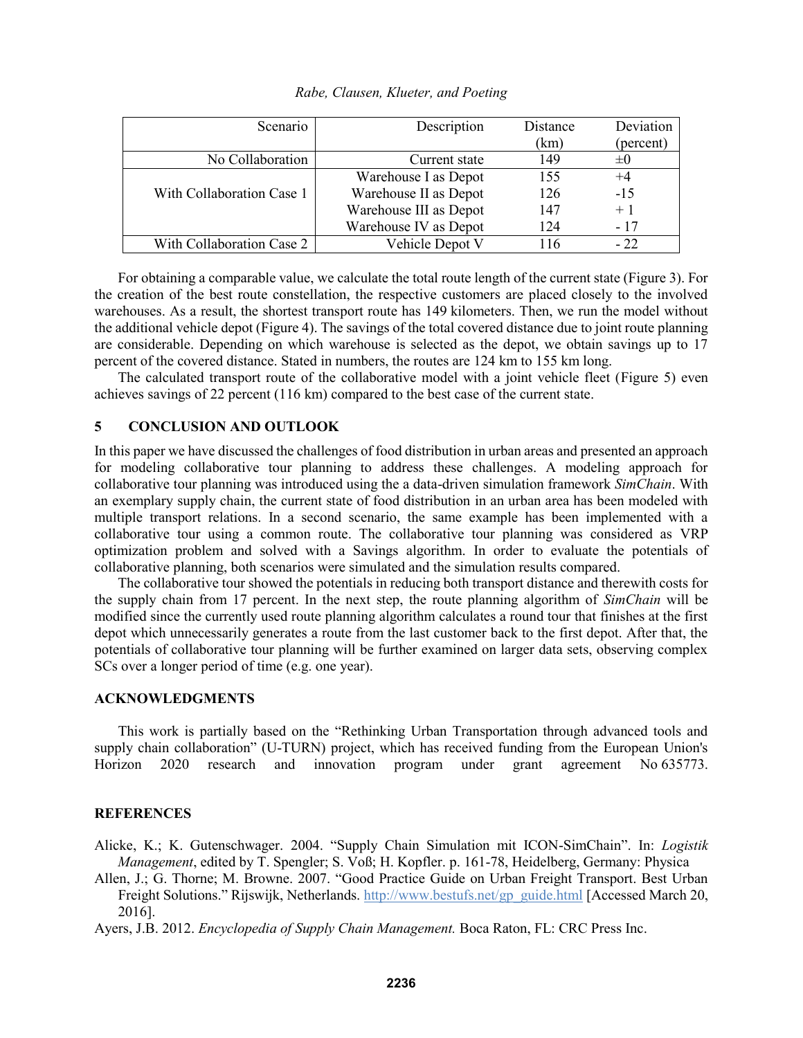| Scenario                  | Description            | Distance | Deviation |
|---------------------------|------------------------|----------|-----------|
|                           |                        | (km)     | (percent) |
| No Collaboration          | Current state          | 149      | $\pm$ ()  |
|                           | Warehouse I as Depot   | 155      | $^{+4}$   |
| With Collaboration Case 1 | Warehouse II as Depot  | 126      | $-15$     |
|                           | Warehouse III as Depot | 147      | $+1$      |
|                           | Warehouse IV as Depot  | 124      | - 17      |
| With Collaboration Case 2 | Vehicle Depot V        | 116      | $-22$     |

*Rabe, Clausen, Klueter, and Poeting*

For obtaining a comparable value, we calculate the total route length of the current state (Figure 3). For the creation of the best route constellation, the respective customers are placed closely to the involved warehouses. As a result, the shortest transport route has 149 kilometers. Then, we run the model without the additional vehicle depot (Figure 4). The savings of the total covered distance due to joint route planning are considerable. Depending on which warehouse is selected as the depot, we obtain savings up to 17 percent of the covered distance. Stated in numbers, the routes are 124 km to 155 km long.

The calculated transport route of the collaborative model with a joint vehicle fleet (Figure 5) even achieves savings of 22 percent (116 km) compared to the best case of the current state.

## **5 CONCLUSION AND OUTLOOK**

In this paper we have discussed the challenges of food distribution in urban areas and presented an approach for modeling collaborative tour planning to address these challenges. A modeling approach for collaborative tour planning was introduced using the a data-driven simulation framework *SimChain*. With an exemplary supply chain, the current state of food distribution in an urban area has been modeled with multiple transport relations. In a second scenario, the same example has been implemented with a collaborative tour using a common route. The collaborative tour planning was considered as VRP optimization problem and solved with a Savings algorithm. In order to evaluate the potentials of collaborative planning, both scenarios were simulated and the simulation results compared.

The collaborative tour showed the potentials in reducing both transport distance and therewith costs for the supply chain from 17 percent. In the next step, the route planning algorithm of *SimChain* will be modified since the currently used route planning algorithm calculates a round tour that finishes at the first depot which unnecessarily generates a route from the last customer back to the first depot. After that, the potentials of collaborative tour planning will be further examined on larger data sets, observing complex SCs over a longer period of time (e.g. one year).

### **ACKNOWLEDGMENTS**

This work is partially based on the "Rethinking Urban Transportation through advanced tools and supply chain collaboration" (U-TURN) project, which has received funding from the European Union's Horizon 2020 research and innovation program under grant agreement No 635773.

### **REFERENCES**

- Alicke, K.; K. Gutenschwager. 2004. "Supply Chain Simulation mit ICON-SimChain". In: *Logistik Management*, edited by T. Spengler; S. Voß; H. Kopfler. p. 161-78, Heidelberg, Germany: Physica
- Allen, J.; G. Thorne; M. Browne. 2007. "Good Practice Guide on Urban Freight Transport. Best Urban Freight Solutions." Rijswijk, Netherlands. http://www.bestufs.net/gp\_guide.html [Accessed March 20, 2016].

Ayers, J.B. 2012. *Encyclopedia of Supply Chain Management.* Boca Raton, FL: CRC Press Inc.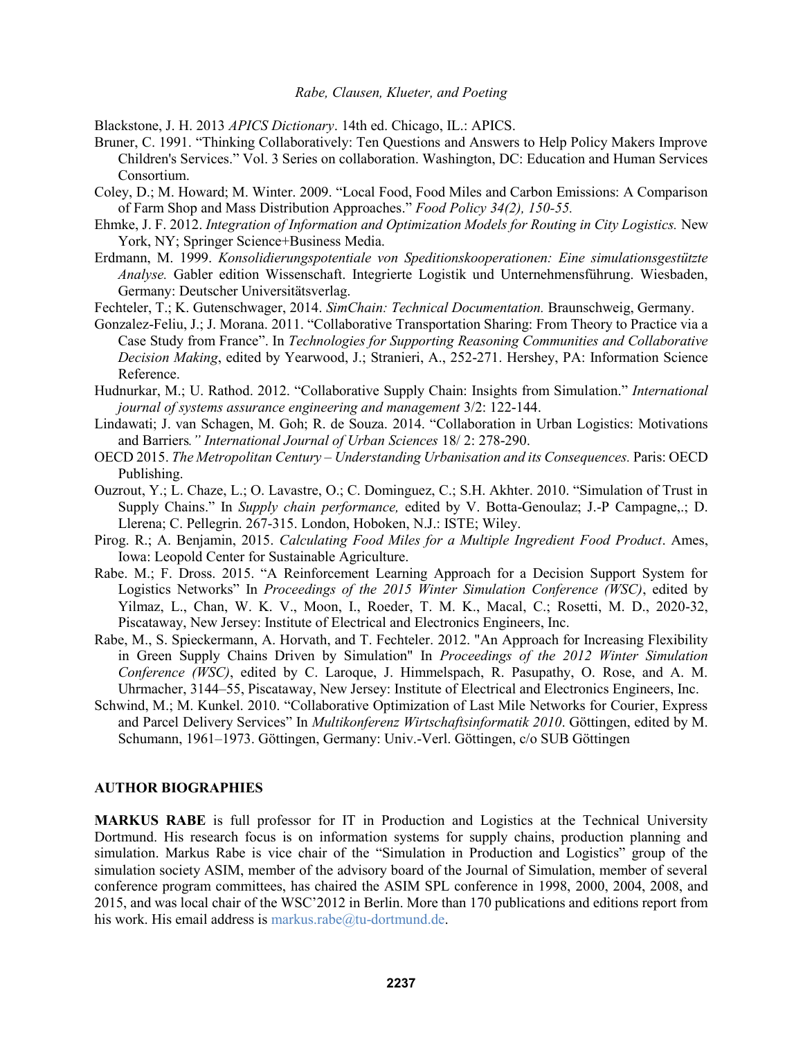Blackstone, J. H. 2013 *APICS Dictionary*. 14th ed. Chicago, IL.: APICS.

- Bruner, C. 1991. "Thinking Collaboratively: Ten Questions and Answers to Help Policy Makers Improve Children's Services." Vol. 3 Series on collaboration. Washington, DC: Education and Human Services Consortium.
- Coley, D.; M. Howard; M. Winter. 2009. "Local Food, Food Miles and Carbon Emissions: A Comparison of Farm Shop and Mass Distribution Approaches." *Food Policy 34(2), 150-55.*
- Ehmke, J. F. 2012. *Integration of Information and Optimization Models for Routing in City Logistics.* New York, NY; Springer Science+Business Media.
- Erdmann, M. 1999. *Konsolidierungspotentiale von Speditionskooperationen: Eine simulationsgestützte Analyse.* Gabler edition Wissenschaft. Integrierte Logistik und Unternehmensführung. Wiesbaden, Germany: Deutscher Universitätsverlag.
- Fechteler, T.; K. Gutenschwager, 2014. *SimChain: Technical Documentation.* Braunschweig, Germany.
- Gonzalez-Feliu, J.; J. Morana. 2011. "Collaborative Transportation Sharing: From Theory to Practice via a Case Study from France". In *Technologies for Supporting Reasoning Communities and Collaborative Decision Making*, edited by Yearwood, J.; Stranieri, A., 252-271. Hershey, PA: Information Science Reference.
- Hudnurkar, M.; U. Rathod. 2012. "Collaborative Supply Chain: Insights from Simulation." *International journal of systems assurance engineering and management* 3/2: 122-144.
- Lindawati; J. van Schagen, M. Goh; R. de Souza. 2014. "Collaboration in Urban Logistics: Motivations and Barriers*." International Journal of Urban Sciences* 18/ 2: 278-290.
- OECD 2015. *The Metropolitan Century – Understanding Urbanisation and its Consequences.* Paris: OECD Publishing.
- Ouzrout, Y.; L. Chaze, L.; O. Lavastre, O.; C. Dominguez, C.; S.H. Akhter. 2010. "Simulation of Trust in Supply Chains." In *Supply chain performance,* edited by V. Botta-Genoulaz; J.-P Campagne,.; D. Llerena; C. Pellegrin. 267-315. London, Hoboken, N.J.: ISTE; Wiley.
- Pirog. R.; A. Benjamin, 2015. *Calculating Food Miles for a Multiple Ingredient Food Product*. Ames, Iowa: Leopold Center for Sustainable Agriculture.
- Rabe. M.; F. Dross. 2015. "A Reinforcement Learning Approach for a Decision Support System for Logistics Networks" In *Proceedings of the 2015 Winter Simulation Conference (WSC)*, edited by Yilmaz, L., Chan, W. K. V., Moon, I., Roeder, T. M. K., Macal, C.; Rosetti, M. D., 2020-32, Piscataway, New Jersey: Institute of Electrical and Electronics Engineers, Inc.
- Rabe, M., S. Spieckermann, A. Horvath, and T. Fechteler. 2012. "An Approach for Increasing Flexibility in Green Supply Chains Driven by Simulation" In *Proceedings of the 2012 Winter Simulation Conference (WSC)*, edited by C. Laroque, J. Himmelspach, R. Pasupathy, O. Rose, and A. M. Uhrmacher, 3144–55, Piscataway, New Jersey: Institute of Electrical and Electronics Engineers, Inc.
- Schwind, M.; M. Kunkel. 2010. "Collaborative Optimization of Last Mile Networks for Courier, Express and Parcel Delivery Services" In *Multikonferenz Wirtschaftsinformatik 2010*. Göttingen, edited by M. Schumann, 1961–1973. Göttingen, Germany: Univ.-Verl. Göttingen, c/o SUB Göttingen

#### **AUTHOR BIOGRAPHIES**

**MARKUS RABE** is full professor for IT in Production and Logistics at the Technical University Dortmund. His research focus is on information systems for supply chains, production planning and simulation. Markus Rabe is vice chair of the "Simulation in Production and Logistics" group of the simulation society ASIM, member of the advisory board of the Journal of Simulation, member of several conference program committees, has chaired the ASIM SPL conference in 1998, 2000, 2004, 2008, and 2015, and was local chair of the WSC'2012 in Berlin. More than 170 publications and editions report from his work. His email address is markus.rabe@tu-dortmund.de.